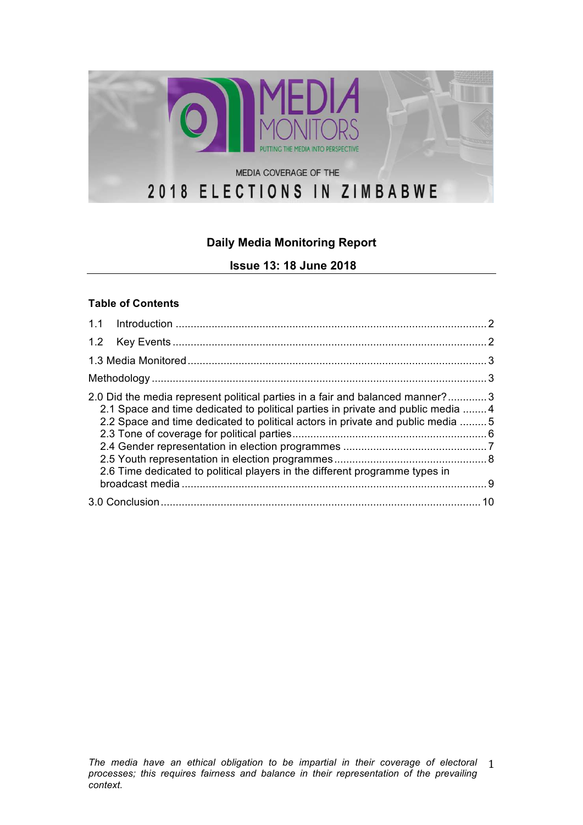

## **Daily Media Monitoring Report**

**Issue 13: 18 June 2018**

#### **Table of Contents**

| 2.0 Did the media represent political parties in a fair and balanced manner?3<br>2.1 Space and time dedicated to political parties in private and public media 4<br>2.2 Space and time dedicated to political actors in private and public media 5<br>2.6 Time dedicated to political players in the different programme types in |  |
|-----------------------------------------------------------------------------------------------------------------------------------------------------------------------------------------------------------------------------------------------------------------------------------------------------------------------------------|--|
|                                                                                                                                                                                                                                                                                                                                   |  |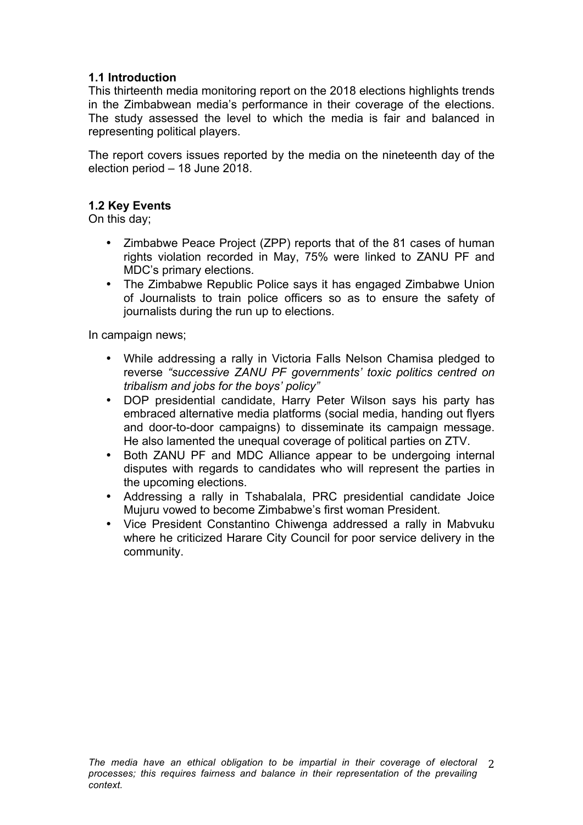### **1.1 Introduction**

This thirteenth media monitoring report on the 2018 elections highlights trends in the Zimbabwean media's performance in their coverage of the elections. The study assessed the level to which the media is fair and balanced in representing political players.

The report covers issues reported by the media on the nineteenth day of the election period – 18 June 2018.

### **1.2 Key Events**

On this day;

- Zimbabwe Peace Project (ZPP) reports that of the 81 cases of human rights violation recorded in May, 75% were linked to ZANU PF and MDC's primary elections.
- The Zimbabwe Republic Police says it has engaged Zimbabwe Union of Journalists to train police officers so as to ensure the safety of journalists during the run up to elections.

In campaign news;

- While addressing a rally in Victoria Falls Nelson Chamisa pledged to reverse *"successive ZANU PF governments' toxic politics centred on tribalism and jobs for the boys' policy"*
- DOP presidential candidate, Harry Peter Wilson says his party has embraced alternative media platforms (social media, handing out flyers and door-to-door campaigns) to disseminate its campaign message. He also lamented the unequal coverage of political parties on ZTV.
- Both ZANU PF and MDC Alliance appear to be undergoing internal disputes with regards to candidates who will represent the parties in the upcoming elections.
- Addressing a rally in Tshabalala, PRC presidential candidate Joice Mujuru vowed to become Zimbabwe's first woman President.
- Vice President Constantino Chiwenga addressed a rally in Mabvuku where he criticized Harare City Council for poor service delivery in the community.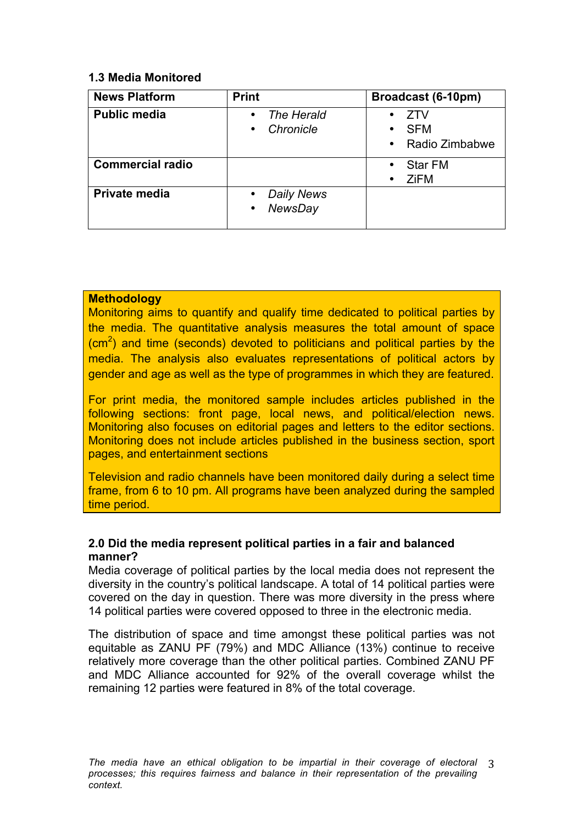### **1.3 Media Monitored**

| <b>News Platform</b>    | <b>Print</b>                                                  | Broadcast (6-10pm)                                      |
|-------------------------|---------------------------------------------------------------|---------------------------------------------------------|
| <b>Public media</b>     | The Herald<br>$\bullet$<br>Chronicle<br>$\bullet$             | 7TV<br>$\bullet$<br><b>SFM</b><br>٠<br>• Radio Zimbabwe |
| <b>Commercial radio</b> |                                                               | <b>Star FM</b><br>$\bullet$<br>ZiFM<br>٠                |
| Private media           | <b>Daily News</b><br>$\bullet$<br><b>NewsDay</b><br>$\bullet$ |                                                         |

### **Methodology**

Monitoring aims to quantify and qualify time dedicated to political parties by the media. The quantitative analysis measures the total amount of space  $\rm (cm^2)$  and time (seconds) devoted to politicians and political parties by the media. The analysis also evaluates representations of political actors by gender and age as well as the type of programmes in which they are featured.

For print media, the monitored sample includes articles published in the following sections: front page, local news, and political/election news. Monitoring also focuses on editorial pages and letters to the editor sections. Monitoring does not include articles published in the business section, sport pages, and entertainment sections

Television and radio channels have been monitored daily during a select time frame, from 6 to 10 pm. All programs have been analyzed during the sampled time period.

### **2.0 Did the media represent political parties in a fair and balanced manner?**

Media coverage of political parties by the local media does not represent the diversity in the country's political landscape. A total of 14 political parties were covered on the day in question. There was more diversity in the press where 14 political parties were covered opposed to three in the electronic media.

The distribution of space and time amongst these political parties was not equitable as ZANU PF (79%) and MDC Alliance (13%) continue to receive relatively more coverage than the other political parties. Combined ZANU PF and MDC Alliance accounted for 92% of the overall coverage whilst the remaining 12 parties were featured in 8% of the total coverage.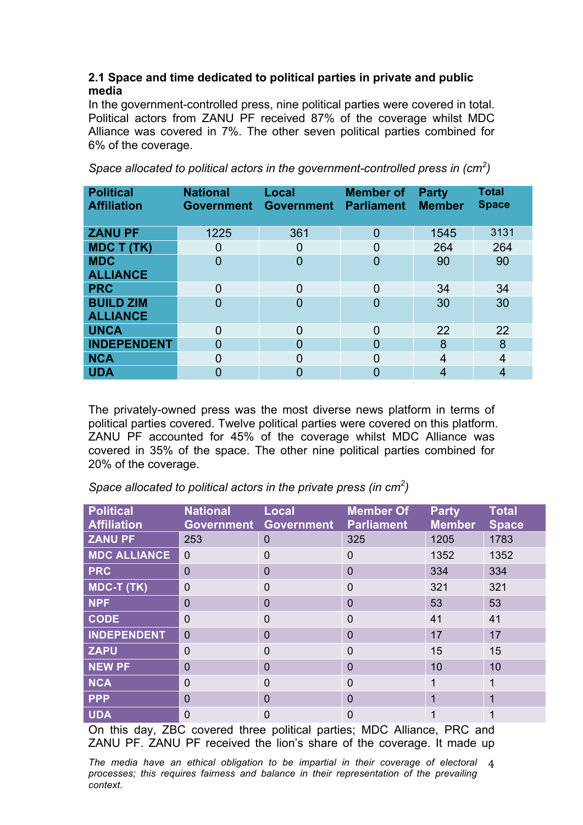### **2.1 Space and time dedicated to political parties in private and public media**

In the government-controlled press, nine political parties were covered in total. Political actors from ZANU PF received 87% of the coverage whilst MDC Alliance was covered in 7%. The other seven political parties combined for 6% of the coverage.

| <b>Political</b><br><b>Affiliation</b> | <b>National</b><br><b>Government</b> | Local<br><b>Government</b> | <b>Member of</b><br><b>Parliament</b> | <b>Party</b><br><b>Member</b> | <b>Total</b><br><b>Space</b> |
|----------------------------------------|--------------------------------------|----------------------------|---------------------------------------|-------------------------------|------------------------------|
| <b>ZANU PF</b>                         | 1225                                 | 361                        | $\overline{0}$                        | 1545                          | 3131                         |
| <b>MDC T (TK)</b>                      | $\overline{0}$                       | 0                          | $\Omega$                              | 264                           | 264                          |
| <b>MDC</b><br><b>ALLIANCE</b>          | $\overline{0}$                       | $\overline{0}$             | $\Omega$                              | 90                            | 90                           |
| <b>PRC</b>                             | $\overline{0}$                       | 0                          | $\Omega$                              | 34                            | 34                           |
| <b>BUILD ZIM</b><br><b>ALLIANCE</b>    | $\overline{0}$                       | 0                          | $\Omega$                              | 30                            | 30                           |
| <b>UNCA</b>                            | $\overline{0}$                       | $\overline{0}$             | $\Omega$                              | 22                            | 22                           |
| <b>INDEPENDENT</b>                     | $\Omega$                             | 0                          | $\Omega$                              | 8                             | 8                            |
| <b>NCA</b>                             | $\overline{0}$                       | 0                          | 0                                     | 4                             | 4                            |
| <b>UDA</b>                             | 0                                    | 0                          | O                                     | 4                             | 4                            |

*Space allocated to political actors in the government-controlled press in (cm<sup>2</sup> )* 

The privately-owned press was the most diverse news platform in terms of political parties covered. Twelve political parties were covered on this platform. ZANU PF accounted for 45% of the coverage whilst MDC Alliance was covered in 35% of the space. The other nine political parties combined for 20% of the coverage.

| Space allocated to political actors in the private press (in cm <sup>2</sup> ) |  |  |
|--------------------------------------------------------------------------------|--|--|
|--------------------------------------------------------------------------------|--|--|

| <b>Political</b><br><b>Affiliation</b> | <b>National</b><br><b>Government</b> | <b>Local</b><br><b>Government</b> | <b>Member Of</b><br><b>Parliament</b> | <b>Party</b><br><b>Member</b> | <b>Total</b><br><b>Space</b> |
|----------------------------------------|--------------------------------------|-----------------------------------|---------------------------------------|-------------------------------|------------------------------|
| <b>ZANU PF</b>                         | 253                                  | $\Omega$                          | 325                                   | 1205                          | 1783                         |
| <b>MDC ALLIANCE</b>                    | $\Omega$                             | $\Omega$                          | $\Omega$                              | 1352                          | 1352                         |
| <b>PRC</b>                             | $\Omega$                             | $\Omega$                          | $\overline{0}$                        | 334                           | 334                          |
| <b>MDC-T (TK)</b>                      | $\mathbf 0$                          | $\Omega$                          | 0                                     | 321                           | 321                          |
| <b>NPF</b>                             | $\Omega$                             | $\Omega$                          | 0                                     | 53                            | 53                           |
| <b>CODE</b>                            | $\Omega$                             | $\Omega$                          | $\Omega$                              | 41                            | 41                           |
| <b>INDEPENDENT</b>                     | $\Omega$                             | $\overline{0}$                    | 0                                     | 17                            | 17                           |
| <b>ZAPU</b>                            | $\Omega$                             | 0                                 | 0                                     | 15                            | 15                           |
| <b>NEW PF</b>                          | $\Omega$                             | $\Omega$                          | 0                                     | 10                            | 10                           |
| <b>NCA</b>                             | $\overline{0}$                       | $\Omega$                          | 0                                     |                               | 1                            |
| <b>PPP</b>                             | $\overline{0}$                       | $\Omega$                          | 0                                     | 1                             | 1                            |
| <b>UDA</b>                             | $\overline{0}$                       | 0                                 | 0                                     |                               |                              |

On this day, ZBC covered three political parties; MDC Alliance, PRC and ZANU PF. ZANU PF received the lion's share of the coverage. It made up

The media have an ethical obligation to be impartial in their coverage of electoral 4 *processes; this requires fairness and balance in their representation of the prevailing context.*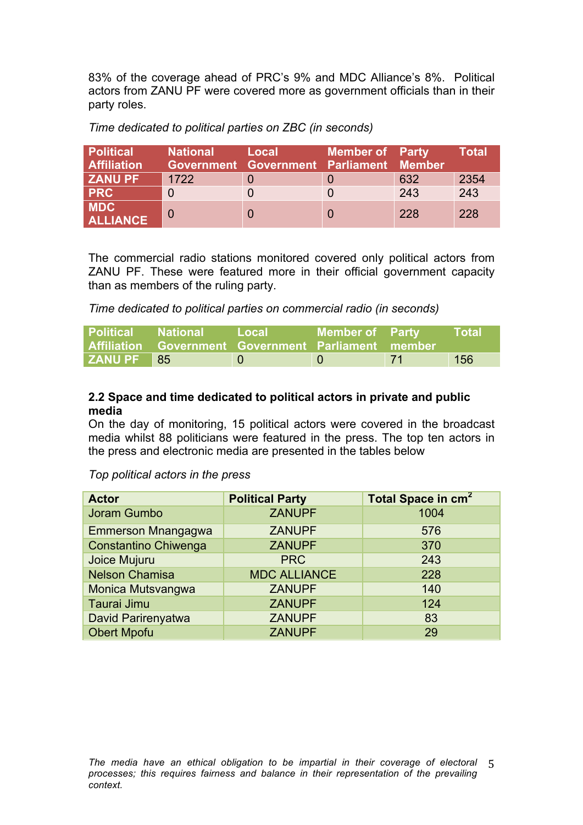83% of the coverage ahead of PRC's 9% and MDC Alliance's 8%. Political actors from ZANU PF were covered more as government officials than in their party roles.

| <b>Political</b><br><b>Affiliation</b> | <b>National</b> | Local<br>Government Government Parliament Member | <b>Member of Party</b> |     | Total |
|----------------------------------------|-----------------|--------------------------------------------------|------------------------|-----|-------|
| <b>ZANU PF</b>                         | 1722            |                                                  |                        | 632 | 2354  |
| <b>PRC</b>                             |                 |                                                  |                        | 243 | 243   |
| <b>MDC</b><br><b>ALLIANCE</b>          |                 |                                                  |                        | 228 | 228   |

*Time dedicated to political parties on ZBC (in seconds)* 

The commercial radio stations monitored covered only political actors from ZANU PF. These were featured more in their official government capacity than as members of the ruling party.

*Time dedicated to political parties on commercial radio (in seconds)* 

| <b>Political National</b> | Affiliation Government Government Parliament member | <b>Local</b> | <b>Member of Party</b> |       | <b>Total</b> |
|---------------------------|-----------------------------------------------------|--------------|------------------------|-------|--------------|
| <b>ZANU PF</b> 85         |                                                     |              |                        | $-71$ | 156          |

### **2.2 Space and time dedicated to political actors in private and public media**

On the day of monitoring, 15 political actors were covered in the broadcast media whilst 88 politicians were featured in the press. The top ten actors in the press and electronic media are presented in the tables below

*Top political actors in the press* 

| <b>Actor</b>                | <b>Political Party</b> | Total Space in cm <sup>2</sup> |
|-----------------------------|------------------------|--------------------------------|
| Joram Gumbo                 | <b>ZANUPF</b>          | 1004                           |
| <b>Emmerson Mnangagwa</b>   | <b>ZANUPF</b>          | 576                            |
| <b>Constantino Chiwenga</b> | <b>ZANUPF</b>          | 370                            |
| Joice Mujuru                | <b>PRC</b>             | 243                            |
| <b>Nelson Chamisa</b>       | <b>MDC ALLIANCE</b>    | 228                            |
| Monica Mutsvangwa           | <b>ZANUPF</b>          | 140                            |
| Taurai Jimu                 | <b>ZANUPF</b>          | 124                            |
| David Parirenyatwa          | <b>ZANUPF</b>          | 83                             |
| <b>Obert Mpofu</b>          | <b>ZANUPF</b>          | 29                             |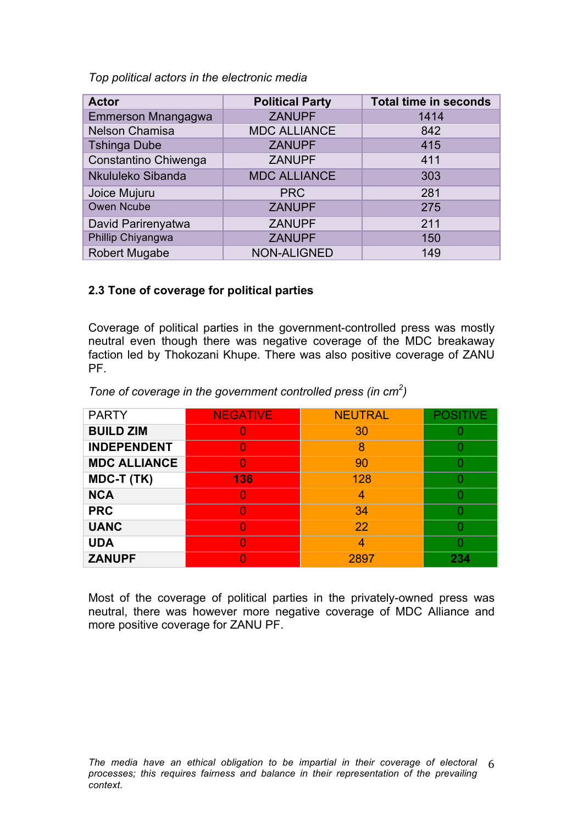*Top political actors in the electronic media* 

| <b>Actor</b>         | <b>Political Party</b> | <b>Total time in seconds</b> |
|----------------------|------------------------|------------------------------|
| Emmerson Mnangagwa   | <b>ZANUPF</b>          | 1414                         |
| Nelson Chamisa       | <b>MDC ALLIANCE</b>    | 842                          |
| <b>Tshinga Dube</b>  | <b>ZANUPF</b>          | 415                          |
| Constantino Chiwenga | <b>ZANUPF</b>          | 411                          |
| Nkululeko Sibanda    | <b>MDC ALLIANCE</b>    | 303                          |
| Joice Mujuru         | <b>PRC</b>             | 281                          |
| Owen Ncube           | <b>ZANUPF</b>          | 275                          |
| David Parirenyatwa   | <b>ZANUPF</b>          | 211                          |
| Phillip Chiyangwa    | <b>ZANUPF</b>          | 150                          |
| <b>Robert Mugabe</b> | <b>NON-ALIGNED</b>     | 149                          |

### **2.3 Tone of coverage for political parties**

Coverage of political parties in the government-controlled press was mostly neutral even though there was negative coverage of the MDC breakaway faction led by Thokozani Khupe. There was also positive coverage of ZANU PF.

| <b>PARTY</b>        | <b>NEGATIVE</b> | <b>NEUTRAL</b> | <b>POSITIVE</b> |
|---------------------|-----------------|----------------|-----------------|
| <b>BUILD ZIM</b>    |                 | 30             |                 |
| <b>INDEPENDENT</b>  |                 | 8              |                 |
| <b>MDC ALLIANCE</b> |                 | 90             |                 |
| <b>MDC-T (TK)</b>   | 136             | 128            |                 |
| <b>NCA</b>          |                 | 4              |                 |
| <b>PRC</b>          |                 | 34             |                 |
| <b>UANC</b>         |                 | 22             |                 |
| <b>UDA</b>          |                 | 4              |                 |
| <b>ZANUPF</b>       |                 | 2897           | 234             |

*Tone of coverage in the government controlled press (in cm<sup>2</sup> )* 

Most of the coverage of political parties in the privately-owned press was neutral, there was however more negative coverage of MDC Alliance and more positive coverage for ZANU PF.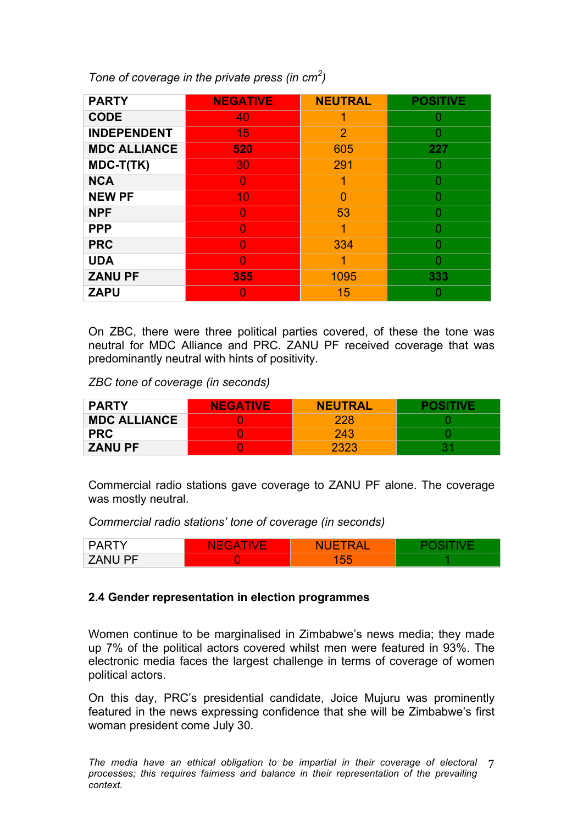*Tone of coverage in the private press (in cm<sup>2</sup> )* 

| <b>PARTY</b>        | <b>NEGATIVE</b> | <b>NEUTRAL</b> | <b>POSITIVE</b> |
|---------------------|-----------------|----------------|-----------------|
| <b>CODE</b>         | 40              |                | O               |
| <b>INDEPENDENT</b>  | 15              | $\overline{2}$ |                 |
| <b>MDC ALLIANCE</b> | 520             | 605            | 227             |
| MDC-T(TK)           | 30              | 291            |                 |
| <b>NCA</b>          |                 | 1              |                 |
| <b>NEW PF</b>       | 10              | O              |                 |
| <b>NPF</b>          | O               | 53             | n               |
| <b>PPP</b>          | O               | 1              | n               |
| <b>PRC</b>          |                 | 334            |                 |
| <b>UDA</b>          |                 | 1              |                 |
| <b>ZANU PF</b>      | 355             | 1095           | 333             |
| <b>ZAPU</b>         |                 | 15             |                 |

On ZBC, there were three political parties covered, of these the tone was neutral for MDC Alliance and PRC. ZANU PF received coverage that was predominantly neutral with hints of positivity.

*ZBC tone of coverage (in seconds)* 

| <b>PARTY</b>        | <b>NEGATIVE</b> | <b>NEUTRAL</b> |  |
|---------------------|-----------------|----------------|--|
| <b>MDC ALLIANCE</b> |                 | 228            |  |
| <b>PRC</b>          |                 | 243            |  |
| <b>ZANU PF</b>      |                 | 2323           |  |

Commercial radio stations gave coverage to ZANU PF alone. The coverage was mostly neutral.

*Commercial radio stations' tone of coverage (in seconds)* 

| ◡▵◡                                                               | $\sim$<br><b>NL</b><br>v<br><b>Contract Contract</b><br>$\sim$<br><b>Contract Contract</b> | Δ<br><b>AF</b><br>w<br>$\sim$    |  |
|-------------------------------------------------------------------|--------------------------------------------------------------------------------------------|----------------------------------|--|
| $\overline{\phantom{a}}$<br><b>NI</b><br>$\mathbf{u}$<br><u>_</u> |                                                                                            | $\sim$<br>-<br>-<br>$\sim$<br>vu |  |

### **2.4 Gender representation in election programmes**

Women continue to be marginalised in Zimbabwe's news media; they made up 7% of the political actors covered whilst men were featured in 93%. The electronic media faces the largest challenge in terms of coverage of women political actors.

On this day, PRC's presidential candidate, Joice Mujuru was prominently featured in the news expressing confidence that she will be Zimbabwe's first woman president come July 30.

The media have an ethical obligation to be impartial in their coverage of electoral 7 *processes; this requires fairness and balance in their representation of the prevailing context.*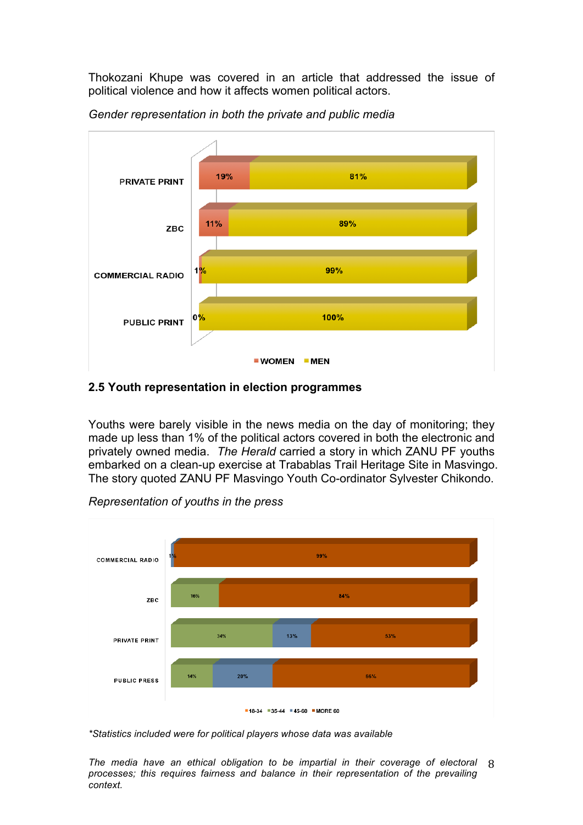Thokozani Khupe was covered in an article that addressed the issue of political violence and how it affects women political actors.



*Gender representation in both the private and public media* 

#### **2.5 Youth representation in election programmes**

Youths were barely visible in the news media on the day of monitoring; they made up less than 1% of the political actors covered in both the electronic and privately owned media. *The Herald* carried a story in which ZANU PF youths embarked on a clean-up exercise at Trabablas Trail Heritage Site in Masvingo. The story quoted ZANU PF Masvingo Youth Co-ordinator Sylvester Chikondo.



*Representation of youths in the press* 

*\*Statistics included were for political players whose data was available*

The media have an ethical obligation to be impartial in their coverage of electoral 8 *processes; this requires fairness and balance in their representation of the prevailing context.*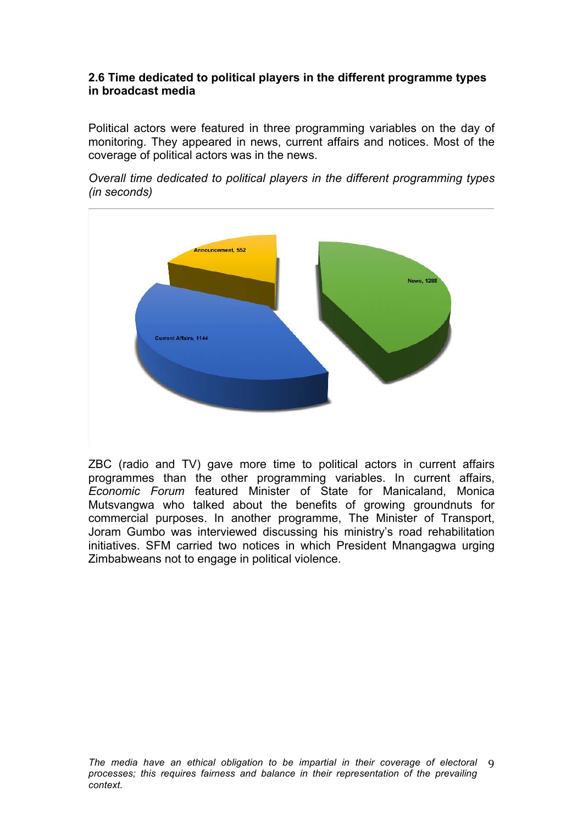#### **2.6 Time dedicated to political players in the different programme types in broadcast media**

Political actors were featured in three programming variables on the day of monitoring. They appeared in news, current affairs and notices. Most of the coverage of political actors was in the news.





ZBC (radio and TV) gave more time to political actors in current affairs programmes than the other programming variables. In current affairs, *Economic Forum* featured Minister of State for Manicaland, Monica Mutsvangwa who talked about the benefits of growing groundnuts for commercial purposes. In another programme, The Minister of Transport, Joram Gumbo was interviewed discussing his ministry's road rehabilitation initiatives. SFM carried two notices in which President Mnangagwa urging Zimbabweans not to engage in political violence.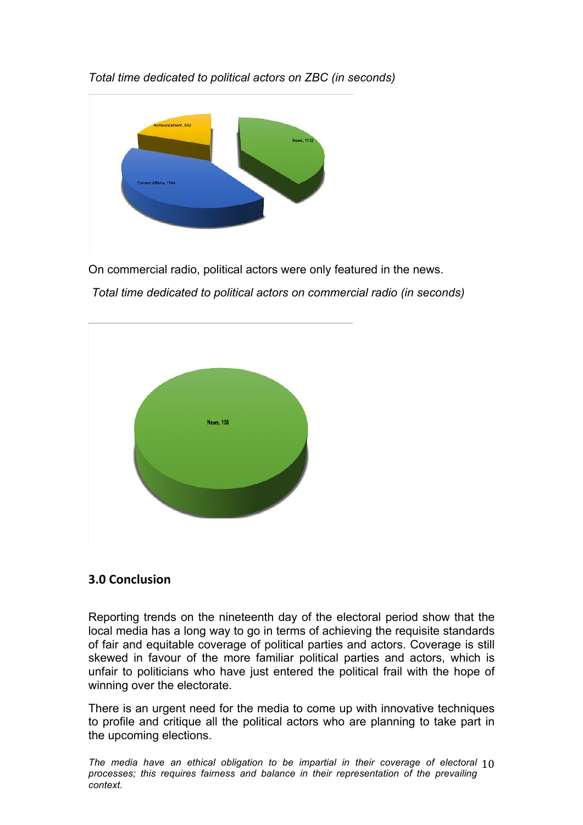

*Total time dedicated to political actors on ZBC (in seconds)* 

On commercial radio, political actors were only featured in the news.

 *Total time dedicated to political actors on commercial radio (in seconds)* 



# **3.0 
Conclusion**

Reporting trends on the nineteenth day of the electoral period show that the local media has a long way to go in terms of achieving the requisite standards of fair and equitable coverage of political parties and actors. Coverage is still skewed in favour of the more familiar political parties and actors, which is unfair to politicians who have just entered the political frail with the hope of winning over the electorate.

There is an urgent need for the media to come up with innovative techniques to profile and critique all the political actors who are planning to take part in the upcoming elections.

The media have an ethical obligation to be impartial in their coverage of electoral  $10$ *processes; this requires fairness and balance in their representation of the prevailing context.*